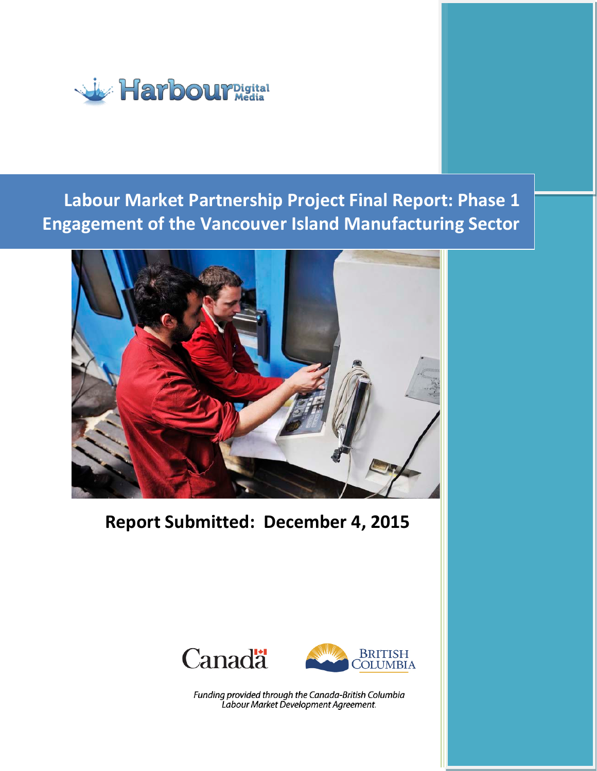

# **Labour Market Partnership Project Final Report: Phase 1 Engagement of the Vancouver Island Manufacturing Sector**



**Report Submitted: December 4, 2015**





Funding provided through the Canada-British Columbia Labour Market Development Agreement.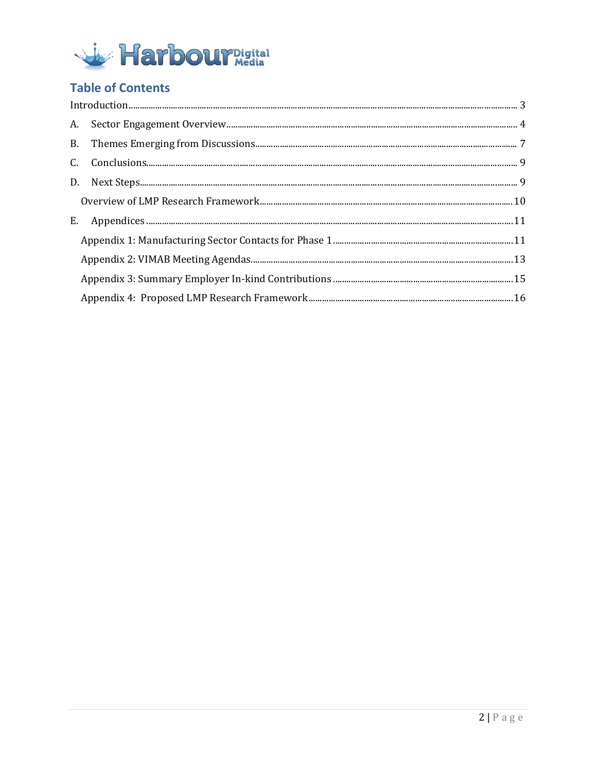

# **Table of Contents**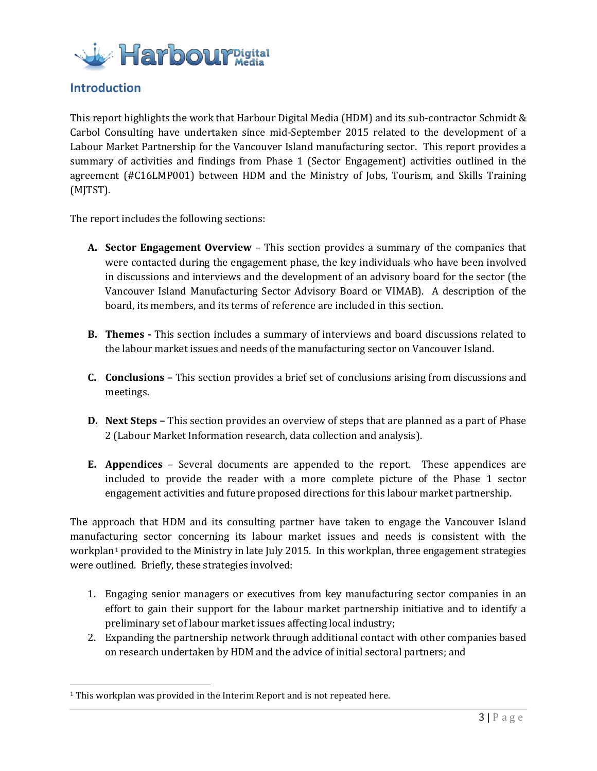

# <span id="page-2-0"></span>**Introduction**

This report highlights the work that Harbour Digital Media (HDM) and its sub-contractor Schmidt & Carbol Consulting have undertaken since mid-September 2015 related to the development of a Labour Market Partnership for the Vancouver Island manufacturing sector. This report provides a summary of activities and findings from Phase 1 (Sector Engagement) activities outlined in the agreement (#C16LMP001) between HDM and the Ministry of Jobs, Tourism, and Skills Training (MJTST).

The report includes the following sections:

- **A. Sector Engagement Overview** This section provides a summary of the companies that were contacted during the engagement phase, the key individuals who have been involved in discussions and interviews and the development of an advisory board for the sector (the Vancouver Island Manufacturing Sector Advisory Board or VIMAB). A description of the board, its members, and its terms of reference are included in this section.
- **B. Themes -** This section includes a summary of interviews and board discussions related to the labour market issues and needs of the manufacturing sector on Vancouver Island.
- **C. Conclusions –** This section provides a brief set of conclusions arising from discussions and meetings.
- **D. Next Steps –** This section provides an overview of steps that are planned as a part of Phase 2 (Labour Market Information research, data collection and analysis).
- **E. Appendices**  Several documents are appended to the report. These appendices are included to provide the reader with a more complete picture of the Phase 1 sector engagement activities and future proposed directions for this labour market partnership.

The approach that HDM and its consulting partner have taken to engage the Vancouver Island manufact[u](#page-2-1)ring sector concerning its labour market issues and needs is consistent with the workplan<sup>1</sup> provided to the Ministry in late July 2015. In this workplan, three engagement strategies were outlined. Briefly, these strategies involved:

- 1. Engaging senior managers or executives from key manufacturing sector companies in an effort to gain their support for the labour market partnership initiative and to identify a preliminary set of labour market issues affecting local industry;
- 2. Expanding the partnership network through additional contact with other companies based on research undertaken by HDM and the advice of initial sectoral partners; and

<span id="page-2-1"></span><sup>&</sup>lt;sup>1</sup> This workplan was provided in the Interim Report and is not repeated here.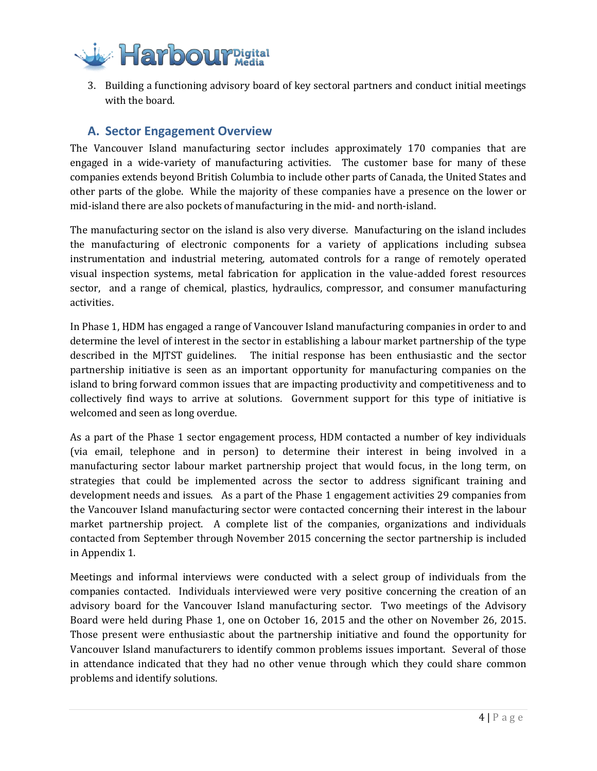

3. Building a functioning advisory board of key sectoral partners and conduct initial meetings with the board.

# <span id="page-3-0"></span>**A. Sector Engagement Overview**

The Vancouver Island manufacturing sector includes approximately 170 companies that are engaged in a wide-variety of manufacturing activities. The customer base for many of these companies extends beyond British Columbia to include other parts of Canada, the United States and other parts of the globe. While the majority of these companies have a presence on the lower or mid-island there are also pockets of manufacturing in the mid- and north-island.

The manufacturing sector on the island is also very diverse. Manufacturing on the island includes the manufacturing of electronic components for a variety of applications including subsea instrumentation and industrial metering, automated controls for a range of remotely operated visual inspection systems, metal fabrication for application in the value-added forest resources sector, and a range of chemical, plastics, hydraulics, compressor, and consumer manufacturing activities.

In Phase 1, HDM has engaged a range of Vancouver Island manufacturing companies in order to and determine the level of interest in the sector in establishing a labour market partnership of the type described in the MJTST guidelines. The initial response has been enthusiastic and the sector partnership initiative is seen as an important opportunity for manufacturing companies on the island to bring forward common issues that are impacting productivity and competitiveness and to collectively find ways to arrive at solutions. Government support for this type of initiative is welcomed and seen as long overdue.

As a part of the Phase 1 sector engagement process, HDM contacted a number of key individuals (via email, telephone and in person) to determine their interest in being involved in a manufacturing sector labour market partnership project that would focus, in the long term, on strategies that could be implemented across the sector to address significant training and development needs and issues. As a part of the Phase 1 engagement activities 29 companies from the Vancouver Island manufacturing sector were contacted concerning their interest in the labour market partnership project. A complete list of the companies, organizations and individuals contacted from September through November 2015 concerning the sector partnership is included in Appendix 1.

Meetings and informal interviews were conducted with a select group of individuals from the companies contacted. Individuals interviewed were very positive concerning the creation of an advisory board for the Vancouver Island manufacturing sector. Two meetings of the Advisory Board were held during Phase 1, one on October 16, 2015 and the other on November 26, 2015. Those present were enthusiastic about the partnership initiative and found the opportunity for Vancouver Island manufacturers to identify common problems issues important. Several of those in attendance indicated that they had no other venue through which they could share common problems and identify solutions.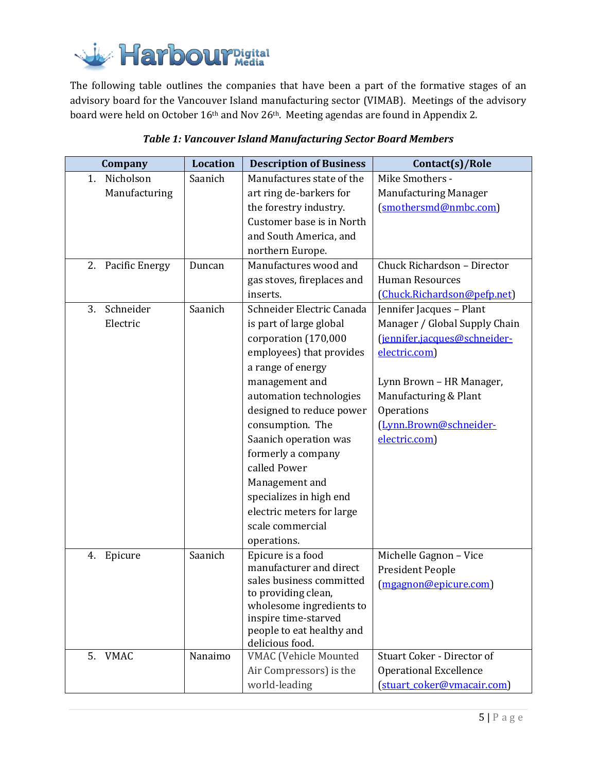

The following table outlines the companies that have been a part of the formative stages of an advisory board for the Vancouver Island manufacturing sector (VIMAB). Meetings of the advisory board were held on October 16<sup>th</sup> and Nov 26<sup>th</sup>. Meeting agendas are found in Appendix 2.

| Company                          | <b>Location</b> | <b>Description of Business</b>                                                                                                                                                                                                                                                                                                                                                                         | Contact(s)/Role                                                                                                                                                                                                          |
|----------------------------------|-----------------|--------------------------------------------------------------------------------------------------------------------------------------------------------------------------------------------------------------------------------------------------------------------------------------------------------------------------------------------------------------------------------------------------------|--------------------------------------------------------------------------------------------------------------------------------------------------------------------------------------------------------------------------|
| Nicholson<br>1.<br>Manufacturing | Saanich         | Manufactures state of the<br>art ring de-barkers for<br>the forestry industry.<br>Customer base is in North<br>and South America, and<br>northern Europe.                                                                                                                                                                                                                                              | Mike Smothers -<br><b>Manufacturing Manager</b><br>(smothersmd@nmbc.com)                                                                                                                                                 |
| <b>Pacific Energy</b><br>2.      | Duncan          | Manufactures wood and<br>gas stoves, fireplaces and<br>inserts.                                                                                                                                                                                                                                                                                                                                        | Chuck Richardson - Director<br><b>Human Resources</b><br>(Chuck.Richardson@pefp.net)                                                                                                                                     |
| Schneider<br>3.<br>Electric      | Saanich         | Schneider Electric Canada<br>is part of large global<br>corporation (170,000<br>employees) that provides<br>a range of energy<br>management and<br>automation technologies<br>designed to reduce power<br>consumption. The<br>Saanich operation was<br>formerly a company<br>called Power<br>Management and<br>specializes in high end<br>electric meters for large<br>scale commercial<br>operations. | Jennifer Jacques - Plant<br>Manager / Global Supply Chain<br>(jennifer.jacques@schneider-<br>electric.com)<br>Lynn Brown - HR Manager,<br>Manufacturing & Plant<br>Operations<br>(Lynn.Brown@schneider-<br>electric.com) |
| 4.<br>Epicure                    | Saanich         | Epicure is a food<br>manufacturer and direct<br>sales business committed<br>to providing clean,<br>wholesome ingredients to<br>inspire time-starved<br>people to eat healthy and<br>delicious food.                                                                                                                                                                                                    | Michelle Gagnon - Vice<br>President People<br>(mgagnon@epicure.com)                                                                                                                                                      |
| 5.<br>VMAC                       | Nanaimo         | <b>VMAC</b> (Vehicle Mounted<br>Air Compressors) is the<br>world-leading                                                                                                                                                                                                                                                                                                                               | Stuart Coker - Director of<br><b>Operational Excellence</b><br>(stuart coker@vmacair.com)                                                                                                                                |

# *Table 1: Vancouver Island Manufacturing Sector Board Members*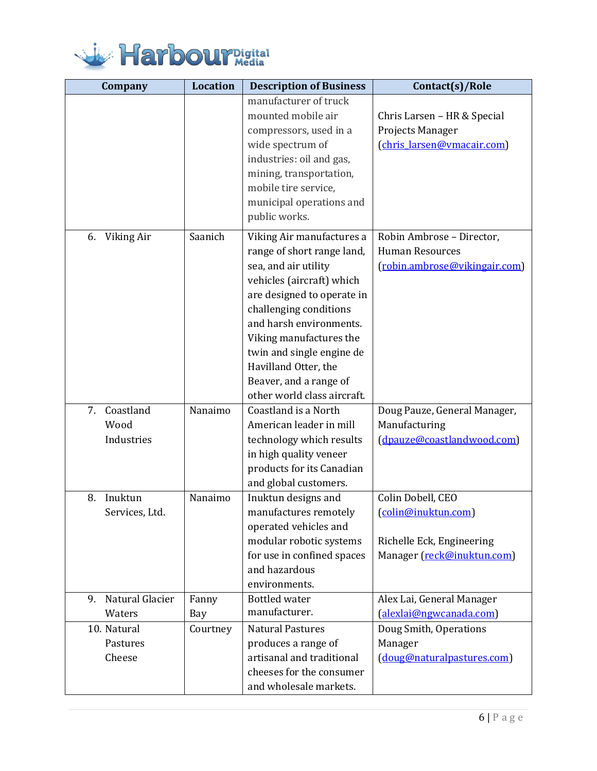

| Company                               | <b>Location</b> | <b>Description of Business</b>                                                                                                                                                                                                                                                                                                           | Contact(s)/Role                                                                                     |
|---------------------------------------|-----------------|------------------------------------------------------------------------------------------------------------------------------------------------------------------------------------------------------------------------------------------------------------------------------------------------------------------------------------------|-----------------------------------------------------------------------------------------------------|
|                                       |                 | manufacturer of truck<br>mounted mobile air<br>compressors, used in a<br>wide spectrum of<br>industries: oil and gas,<br>mining, transportation,<br>mobile tire service,<br>municipal operations and<br>public works.                                                                                                                    | Chris Larsen - HR & Special<br>Projects Manager<br>(chris_larsen@vmacair.com)                       |
| Viking Air<br>6.                      | Saanich         | Viking Air manufactures a<br>range of short range land,<br>sea, and air utility<br>vehicles (aircraft) which<br>are designed to operate in<br>challenging conditions<br>and harsh environments.<br>Viking manufactures the<br>twin and single engine de<br>Havilland Otter, the<br>Beaver, and a range of<br>other world class aircraft. | Robin Ambrose - Director,<br><b>Human Resources</b><br>(robin.ambrose@vikingair.com)                |
| Coastland<br>7.<br>Wood<br>Industries | Nanaimo         | Coastland is a North<br>American leader in mill<br>technology which results<br>in high quality veneer<br>products for its Canadian<br>and global customers.                                                                                                                                                                              | Doug Pauze, General Manager,<br>Manufacturing<br>(dpauze@coastlandwood.com)                         |
| Inuktun<br>8.<br>Services, Ltd.       | Nanaimo         | Inuktun designs and<br>manufactures remotely<br>operated vehicles and<br>modular robotic systems<br>for use in confined spaces<br>and hazardous<br>environments.                                                                                                                                                                         | Colin Dobell, CEO<br>(colin@inuktun.com)<br>Richelle Eck, Engineering<br>Manager (reck@inuktun.com) |
| Natural Glacier<br>9.                 | Fanny           | <b>Bottled</b> water<br>manufacturer.                                                                                                                                                                                                                                                                                                    | Alex Lai, General Manager                                                                           |
| Waters<br>10. Natural                 | Bay<br>Courtney | <b>Natural Pastures</b>                                                                                                                                                                                                                                                                                                                  | (alexlai@ngwcanada.com)<br>Doug Smith, Operations                                                   |
| Pastures<br>Cheese                    |                 | produces a range of<br>artisanal and traditional<br>cheeses for the consumer<br>and wholesale markets.                                                                                                                                                                                                                                   | Manager<br>(doug@naturalpastures.com)                                                               |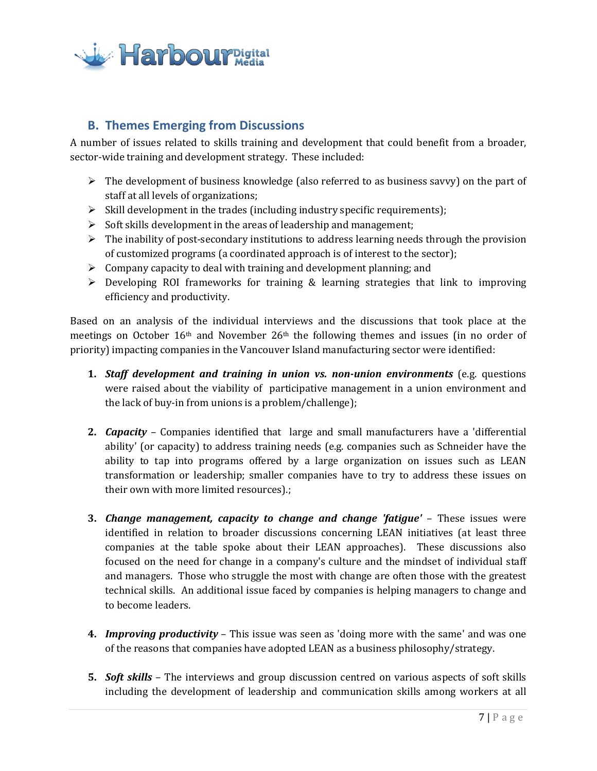

# <span id="page-6-0"></span>**B. Themes Emerging from Discussions**

A number of issues related to skills training and development that could benefit from a broader, sector-wide training and development strategy. These included:

- $\triangleright$  The development of business knowledge (also referred to as business savvy) on the part of staff at all levels of organizations;
- $\triangleright$  Skill development in the trades (including industry specific requirements);
- $\triangleright$  Soft skills development in the areas of leadership and management;
- $\triangleright$  The inability of post-secondary institutions to address learning needs through the provision of customized programs (a coordinated approach is of interest to the sector);
- $\triangleright$  Company capacity to deal with training and development planning; and
- $\triangleright$  Developing ROI frameworks for training & learning strategies that link to improving efficiency and productivity.

Based on an analysis of the individual interviews and the discussions that took place at the meetings on October  $16<sup>th</sup>$  and November  $26<sup>th</sup>$  the following themes and issues (in no order of priority) impacting companies in the Vancouver Island manufacturing sector were identified:

- **1.** *Staff development and training in union vs. non-union environments* (e.g. questions were raised about the viability of participative management in a union environment and the lack of buy-in from unions is a problem/challenge);
- **2.** *Capacity* Companies identified that large and small manufacturers have a 'differential ability' (or capacity) to address training needs (e.g. companies such as Schneider have the ability to tap into programs offered by a large organization on issues such as LEAN transformation or leadership; smaller companies have to try to address these issues on their own with more limited resources).;
- **3.** *Change management, capacity to change and change 'fatigue'* These issues were identified in relation to broader discussions concerning LEAN initiatives (at least three companies at the table spoke about their LEAN approaches). These discussions also focused on the need for change in a company's culture and the mindset of individual staff and managers. Those who struggle the most with change are often those with the greatest technical skills. An additional issue faced by companies is helping managers to change and to become leaders.
- **4.** *Improving productivity* This issue was seen as 'doing more with the same' and was one of the reasons that companies have adopted LEAN as a business philosophy/strategy.
- **5.** *Soft skills* The interviews and group discussion centred on various aspects of soft skills including the development of leadership and communication skills among workers at all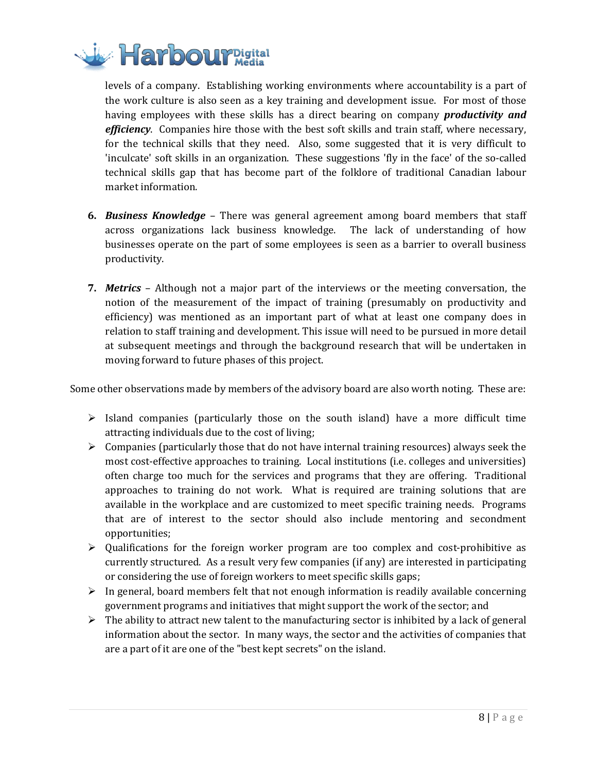

levels of a company. Establishing working environments where accountability is a part of the work culture is also seen as a key training and development issue. For most of those having employees with these skills has a direct bearing on company *productivity and efficiency*. Companies hire those with the best soft skills and train staff, where necessary, for the technical skills that they need. Also, some suggested that it is very difficult to 'inculcate' soft skills in an organization. These suggestions 'fly in the face' of the so-called technical skills gap that has become part of the folklore of traditional Canadian labour market information.

- **6.** *Business Knowledge* There was general agreement among board members that staff across organizations lack business knowledge. The lack of understanding of how businesses operate on the part of some employees is seen as a barrier to overall business productivity.
- **7.** *Metrics* Although not a major part of the interviews or the meeting conversation, the notion of the measurement of the impact of training (presumably on productivity and efficiency) was mentioned as an important part of what at least one company does in relation to staff training and development. This issue will need to be pursued in more detail at subsequent meetings and through the background research that will be undertaken in moving forward to future phases of this project.

Some other observations made by members of the advisory board are also worth noting. These are:

- $\triangleright$  Island companies (particularly those on the south island) have a more difficult time attracting individuals due to the cost of living;
- $\triangleright$  Companies (particularly those that do not have internal training resources) always seek the most cost-effective approaches to training. Local institutions (i.e. colleges and universities) often charge too much for the services and programs that they are offering. Traditional approaches to training do not work. What is required are training solutions that are available in the workplace and are customized to meet specific training needs. Programs that are of interest to the sector should also include mentoring and secondment opportunities;
- $\triangleright$  Qualifications for the foreign worker program are too complex and cost-prohibitive as currently structured. As a result very few companies (if any) are interested in participating or considering the use of foreign workers to meet specific skills gaps;
- $\triangleright$  In general, board members felt that not enough information is readily available concerning government programs and initiatives that might support the work of the sector; and
- $\triangleright$  The ability to attract new talent to the manufacturing sector is inhibited by a lack of general information about the sector. In many ways, the sector and the activities of companies that are a part of it are one of the "best kept secrets" on the island.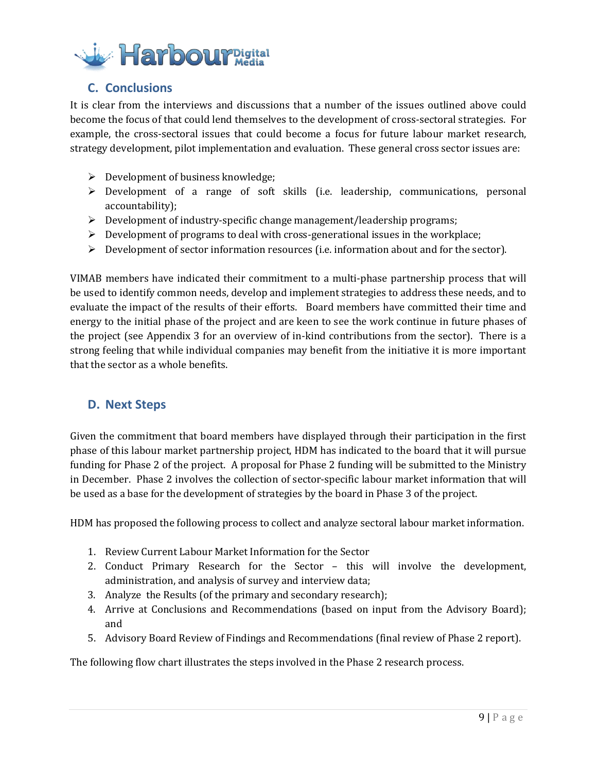

# <span id="page-8-0"></span>**C. Conclusions**

It is clear from the interviews and discussions that a number of the issues outlined above could become the focus of that could lend themselves to the development of cross-sectoral strategies. For example, the cross-sectoral issues that could become a focus for future labour market research, strategy development, pilot implementation and evaluation. These general cross sector issues are:

- $\triangleright$  Development of business knowledge;
- $\triangleright$  Development of a range of soft skills (i.e. leadership, communications, personal accountability);
- $\triangleright$  Development of industry-specific change management/leadership programs;
- $\triangleright$  Development of programs to deal with cross-generational issues in the workplace;
- $\triangleright$  Development of sector information resources (i.e. information about and for the sector).

VIMAB members have indicated their commitment to a multi-phase partnership process that will be used to identify common needs, develop and implement strategies to address these needs, and to evaluate the impact of the results of their efforts. Board members have committed their time and energy to the initial phase of the project and are keen to see the work continue in future phases of the project (see Appendix 3 for an overview of in-kind contributions from the sector). There is a strong feeling that while individual companies may benefit from the initiative it is more important that the sector as a whole benefits.

## <span id="page-8-1"></span>**D. Next Steps**

Given the commitment that board members have displayed through their participation in the first phase of this labour market partnership project, HDM has indicated to the board that it will pursue funding for Phase 2 of the project. A proposal for Phase 2 funding will be submitted to the Ministry in December. Phase 2 involves the collection of sector-specific labour market information that will be used as a base for the development of strategies by the board in Phase 3 of the project.

HDM has proposed the following process to collect and analyze sectoral labour market information.

- 1. Review Current Labour Market Information for the Sector
- 2. Conduct Primary Research for the Sector this will involve the development, administration, and analysis of survey and interview data;
- 3. Analyze the Results (of the primary and secondary research);
- 4. Arrive at Conclusions and Recommendations (based on input from the Advisory Board); and
- 5. Advisory Board Review of Findings and Recommendations (final review of Phase 2 report).

The following flow chart illustrates the steps involved in the Phase 2 research process.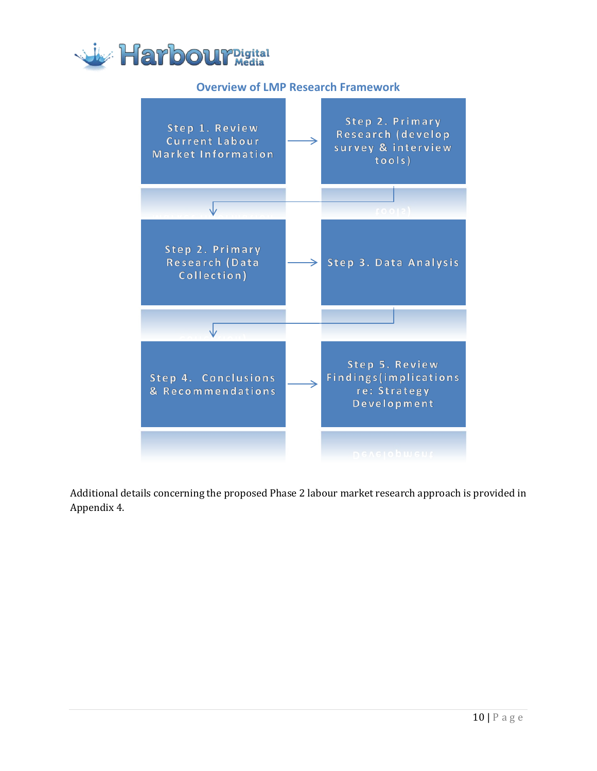<span id="page-9-0"></span>

# **Overview of LMP Research Framework**



Additional details concerning the proposed Phase 2 labour market research approach is provided in Appendix 4.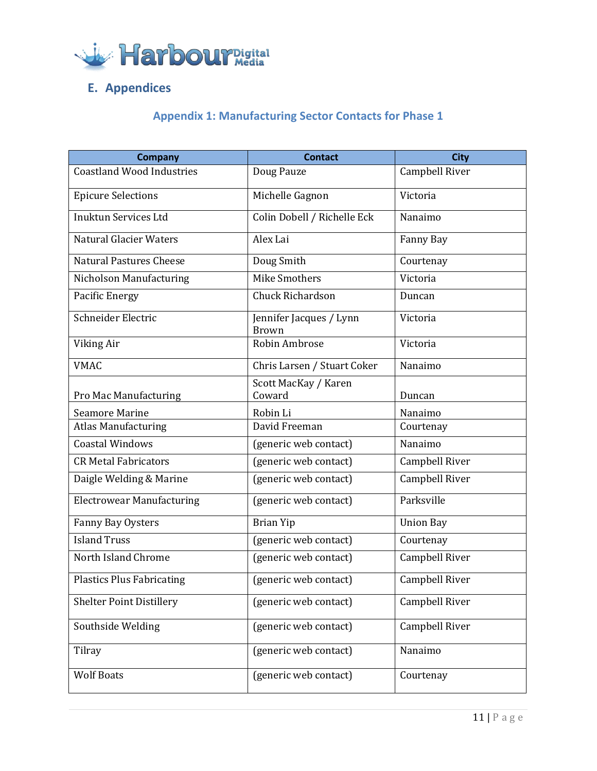

# <span id="page-10-1"></span><span id="page-10-0"></span>**E. Appendices**

# **Appendix 1: Manufacturing Sector Contacts for Phase 1**

| Company                          | <b>Contact</b>                          | <b>City</b>      |
|----------------------------------|-----------------------------------------|------------------|
| <b>Coastland Wood Industries</b> | Doug Pauze                              | Campbell River   |
| <b>Epicure Selections</b>        | Michelle Gagnon                         | Victoria         |
| <b>Inuktun Services Ltd</b>      | Colin Dobell / Richelle Eck             | Nanaimo          |
| <b>Natural Glacier Waters</b>    | Alex Lai                                | Fanny Bay        |
| <b>Natural Pastures Cheese</b>   | Doug Smith                              | Courtenay        |
| Nicholson Manufacturing          | Mike Smothers                           | Victoria         |
| Pacific Energy                   | Chuck Richardson                        | Duncan           |
| Schneider Electric               | Jennifer Jacques / Lynn<br><b>Brown</b> | Victoria         |
| Viking Air                       | Robin Ambrose                           | Victoria         |
| <b>VMAC</b>                      | Chris Larsen / Stuart Coker             | Nanaimo          |
| Pro Mac Manufacturing            | Scott MacKay / Karen<br>Coward          | Duncan           |
| <b>Seamore Marine</b>            | Robin Li                                | Nanaimo          |
| <b>Atlas Manufacturing</b>       | David Freeman                           | Courtenay        |
| <b>Coastal Windows</b>           | (generic web contact)                   | Nanaimo          |
| <b>CR Metal Fabricators</b>      | (generic web contact)                   | Campbell River   |
| Daigle Welding & Marine          | (generic web contact)                   | Campbell River   |
| <b>Electrowear Manufacturing</b> | (generic web contact)                   | Parksville       |
| Fanny Bay Oysters                | <b>Brian Yip</b>                        | <b>Union Bay</b> |
| <b>Island Truss</b>              | (generic web contact)                   | Courtenay        |
| North Island Chrome              | (generic web contact)                   | Campbell River   |
| <b>Plastics Plus Fabricating</b> | (generic web contact)                   | Campbell River   |
| <b>Shelter Point Distillery</b>  | (generic web contact)                   | Campbell River   |
| Southside Welding                | (generic web contact)                   | Campbell River   |
| Tilray                           | (generic web contact)                   | Nanaimo          |
| <b>Wolf Boats</b>                | (generic web contact)                   | Courtenay        |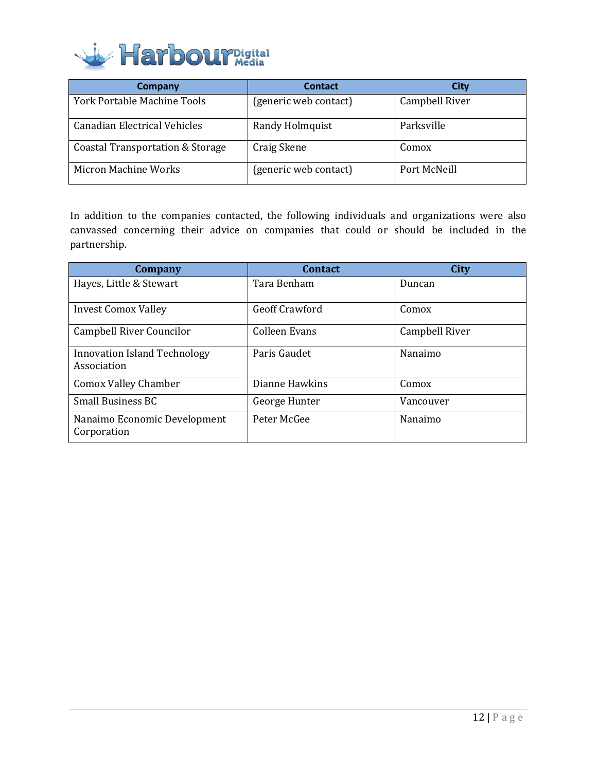

| Company                            | <b>Contact</b>        | City           |
|------------------------------------|-----------------------|----------------|
| <b>York Portable Machine Tools</b> | (generic web contact) | Campbell River |
| Canadian Electrical Vehicles       | Randy Holmquist       | Parksville     |
| Coastal Transportation & Storage   | Craig Skene           | Comox          |
| Micron Machine Works               | (generic web contact) | Port McNeill   |

In addition to the companies contacted, the following individuals and organizations were also canvassed concerning their advice on companies that could or should be included in the partnership.

| Company                                            | <b>Contact</b> | <b>City</b>    |
|----------------------------------------------------|----------------|----------------|
| Hayes, Little & Stewart                            | Tara Benham    | Duncan         |
| <b>Invest Comox Valley</b>                         | Geoff Crawford | Comox          |
| Campbell River Councilor                           | Colleen Evans  | Campbell River |
| <b>Innovation Island Technology</b><br>Association | Paris Gaudet   | Nanaimo        |
| <b>Comox Valley Chamber</b>                        | Dianne Hawkins | Comox          |
| <b>Small Business BC</b>                           | George Hunter  | Vancouver      |
| Nanaimo Economic Development<br>Corporation        | Peter McGee    | Nanaimo        |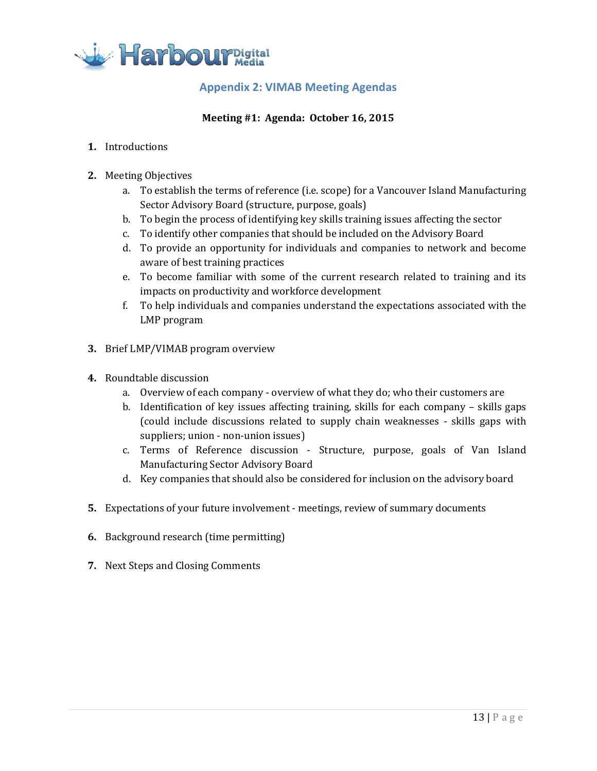<span id="page-12-0"></span>

# **Appendix 2: VIMAB Meeting Agendas**

### **Meeting #1: Agenda: October 16, 2015**

- **1.** Introductions
- **2.** Meeting Objectives
	- a. To establish the terms of reference (i.e. scope) for a Vancouver Island Manufacturing Sector Advisory Board (structure, purpose, goals)
	- b. To begin the process of identifying key skills training issues affecting the sector
	- c. To identify other companies that should be included on the Advisory Board
	- d. To provide an opportunity for individuals and companies to network and become aware of best training practices
	- e. To become familiar with some of the current research related to training and its impacts on productivity and workforce development
	- f. To help individuals and companies understand the expectations associated with the LMP program
- **3.** Brief LMP/VIMAB program overview
- **4.** Roundtable discussion
	- a. Overview of each company overview of what they do; who their customers are
	- b. Identification of key issues affecting training, skills for each company skills gaps (could include discussions related to supply chain weaknesses - skills gaps with suppliers; union - non-union issues)
	- c. Terms of Reference discussion Structure, purpose, goals of Van Island Manufacturing Sector Advisory Board
	- d. Key companies that should also be considered for inclusion on the advisory board
- **5.** Expectations of your future involvement meetings, review of summary documents
- **6.** Background research (time permitting)
- **7.** Next Steps and Closing Comments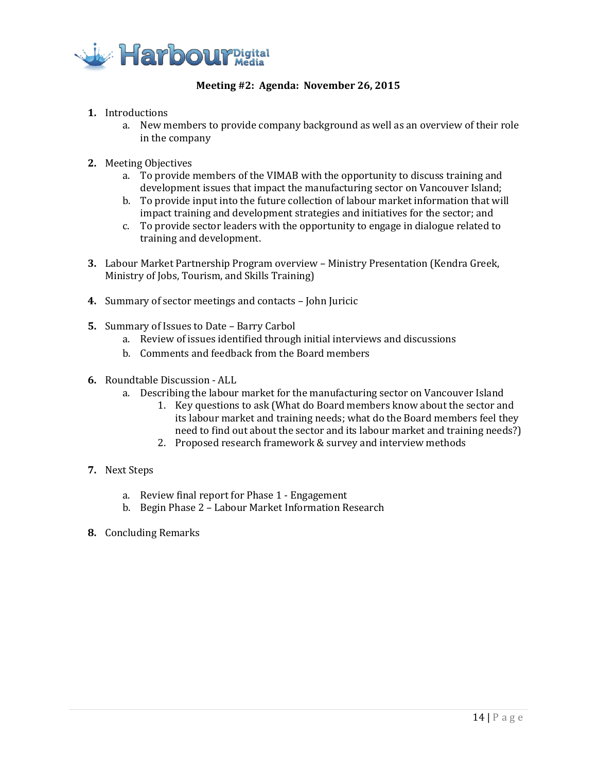

#### **Meeting #2: Agenda: November 26, 2015**

- **1.** Introductions
	- a. New members to provide company background as well as an overview of their role in the company
- **2.** Meeting Objectives
	- a. To provide members of the VIMAB with the opportunity to discuss training and development issues that impact the manufacturing sector on Vancouver Island;
	- b. To provide input into the future collection of labour market information that will impact training and development strategies and initiatives for the sector; and
	- c. To provide sector leaders with the opportunity to engage in dialogue related to training and development.
- **3.** Labour Market Partnership Program overview Ministry Presentation (Kendra Greek, Ministry of Jobs, Tourism, and Skills Training)
- **4.** Summary of sector meetings and contacts John Juricic
- **5.** Summary of Issues to Date Barry Carbol
	- a. Review of issues identified through initial interviews and discussions
	- b. Comments and feedback from the Board members
- **6.** Roundtable Discussion ALL
	- a. Describing the labour market for the manufacturing sector on Vancouver Island
		- 1. Key questions to ask (What do Board members know about the sector and its labour market and training needs; what do the Board members feel they need to find out about the sector and its labour market and training needs?)
		- 2. Proposed research framework & survey and interview methods
- **7.** Next Steps
	- a. Review final report for Phase 1 Engagement
	- b. Begin Phase 2 Labour Market Information Research
- **8.** Concluding Remarks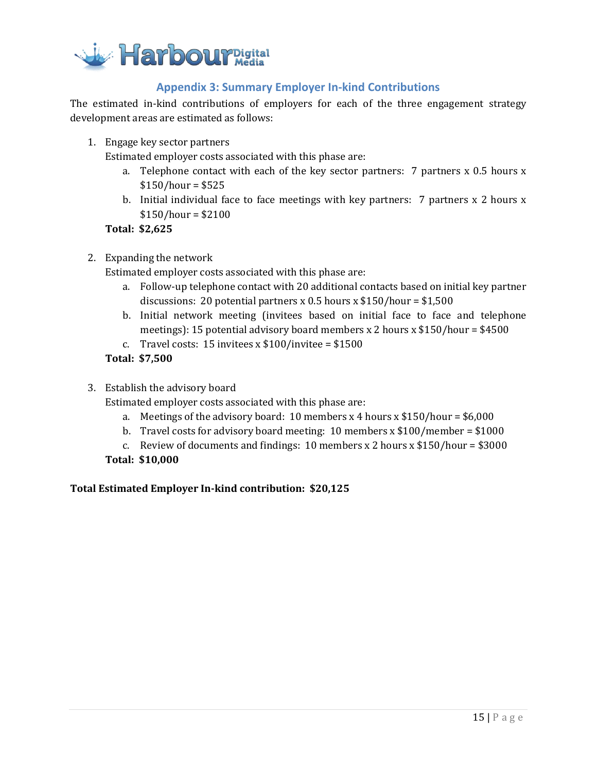

## **Appendix 3: Summary Employer In-kind Contributions**

<span id="page-14-0"></span>The estimated in-kind contributions of employers for each of the three engagement strategy development areas are estimated as follows:

1. Engage key sector partners

Estimated employer costs associated with this phase are:

- a. Telephone contact with each of the key sector partners: 7 partners x 0.5 hours x  $$150/hour = $525$
- b. Initial individual face to face meetings with key partners: 7 partners x 2 hours x  $$150/hour = $2100$

**Total: \$2,625**

2. Expanding the network

Estimated employer costs associated with this phase are:

- a. Follow-up telephone contact with 20 additional contacts based on initial key partner discussions: 20 potential partners x 0.5 hours x  $$150/hour = $1,500$
- b. Initial network meeting (invitees based on initial face to face and telephone meetings): 15 potential advisory board members x 2 hours x  $$150/hour = $4500$
- c. Travel costs: 15 invitees x  $$100/$ invitee =  $$1500$

#### **Total: \$7,500**

3. Establish the advisory board

Estimated employer costs associated with this phase are:

- a. Meetings of the advisory board: 10 members x 4 hours x  $$150/hour = $6,000$
- b. Travel costs for advisory board meeting: 10 members x \$100/member = \$1000
- c. Review of documents and findings: 10 members x 2 hours x  $$150/hour = $3000$

#### **Total: \$10,000**

#### **Total Estimated Employer In-kind contribution: \$20,125**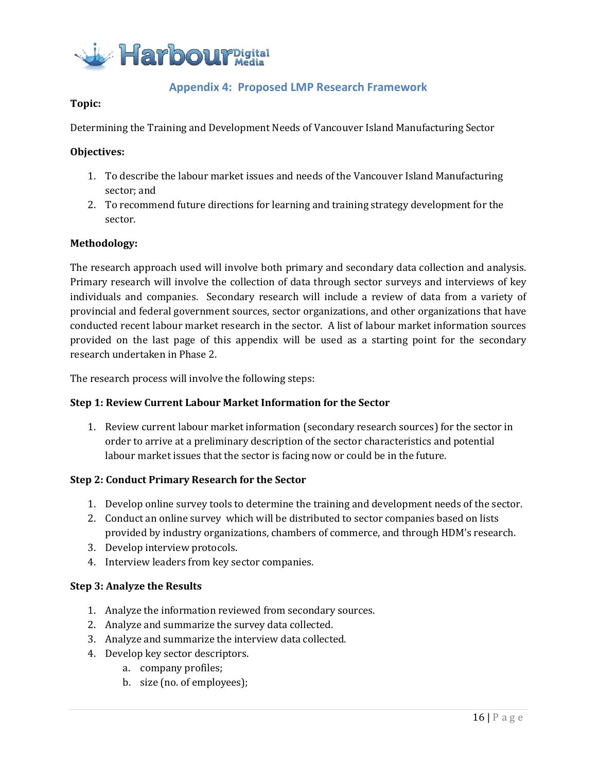

# **Appendix 4: Proposed LMP Research Framework**

#### <span id="page-15-0"></span>**Topic:**

Determining the Training and Development Needs of Vancouver Island Manufacturing Sector

#### **Objectives:**

- 1. To describe the labour market issues and needs of the Vancouver Island Manufacturing sector; and
- 2. To recommend future directions for learning and training strategy development for the sector.

#### **Methodology:**

The research approach used will involve both primary and secondary data collection and analysis. Primary research will involve the collection of data through sector surveys and interviews of key individuals and companies. Secondary research will include a review of data from a variety of provincial and federal government sources, sector organizations, and other organizations that have conducted recent labour market research in the sector. A list of labour market information sources provided on the last page of this appendix will be used as a starting point for the secondary research undertaken in Phase 2.

The research process will involve the following steps:

#### **Step 1: Review Current Labour Market Information for the Sector**

1. Review current labour market information (secondary research sources) for the sector in order to arrive at a preliminary description of the sector characteristics and potential labour market issues that the sector is facing now or could be in the future.

#### **Step 2: Conduct Primary Research for the Sector**

- 1. Develop online survey tools to determine the training and development needs of the sector.
- 2. Conduct an online survey which will be distributed to sector companies based on lists provided by industry organizations, chambers of commerce, and through HDM's research.
- 3. Develop interview protocols.
- 4. Interview leaders from key sector companies.

#### **Step 3: Analyze the Results**

- 1. Analyze the information reviewed from secondary sources.
- 2. Analyze and summarize the survey data collected.
- 3. Analyze and summarize the interview data collected.
- 4. Develop key sector descriptors.
	- a. company profiles;
	- b. size (no. of employees);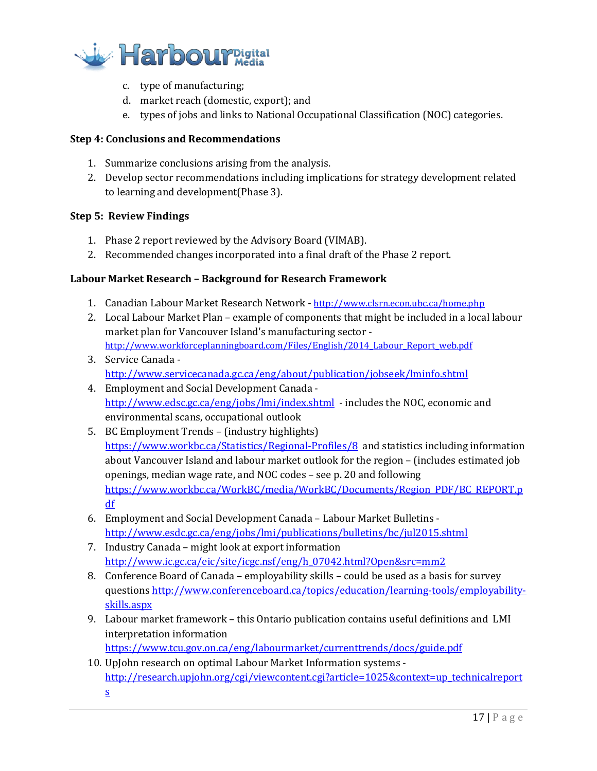

- c. type of manufacturing;
- d. market reach (domestic, export); and
- e. types of jobs and links to National Occupational Classification (NOC) categories.

#### **Step 4: Conclusions and Recommendations**

- 1. Summarize conclusions arising from the analysis.
- 2. Develop sector recommendations including implications for strategy development related to learning and development(Phase 3).

#### **Step 5: Review Findings**

- 1. Phase 2 report reviewed by the Advisory Board (VIMAB).
- 2. Recommended changes incorporated into a final draft of the Phase 2 report.

#### **Labour Market Research – Background for Research Framework**

- 1. Canadian Labour Market Research Network <http://www.clsrn.econ.ubc.ca/home.php>
- 2. Local Labour Market Plan example of components that might be included in a local labour market plan for Vancouver Island's manufacturing sector http://www.workforceplanningboard.com/Files/English/2014 Labour Report web.pdf
- 3. Service Canada <http://www.servicecanada.gc.ca/eng/about/publication/jobseek/lminfo.shtml>
- 4. Employment and Social Development Canada <http://www.edsc.gc.ca/eng/jobs/lmi/index.shtml>- includes the NOC, economic and environmental scans, occupational outlook
- 5. BC Employment Trends (industry highlights) <https://www.workbc.ca/Statistics/Regional-Profiles/8>and statistics including information about Vancouver Island and labour market outlook for the region – (includes estimated job openings, median wage rate, and NOC codes – see p. 20 and following [https://www.workbc.ca/WorkBC/media/WorkBC/Documents/Region\\_PDF/BC\\_REPORT.p](https://www.workbc.ca/WorkBC/media/WorkBC/Documents/Region_PDF/BC_REPORT.pdf) [df](https://www.workbc.ca/WorkBC/media/WorkBC/Documents/Region_PDF/BC_REPORT.pdf)
- 6. Employment and Social Development Canada Labour Market Bulletins <http://www.esdc.gc.ca/eng/jobs/lmi/publications/bulletins/bc/jul2015.shtml>
- 7. Industry Canada might look at export information [http://www.ic.gc.ca/eic/site/icgc.nsf/eng/h\\_07042.html?Open&src=mm2](http://www.ic.gc.ca/eic/site/icgc.nsf/eng/h_07042.html?Open&src=mm2)
- 8. Conference Board of Canada employability skills could be used as a basis for survey questions [http://www.conferenceboard.ca/topics/education/learning-tools/employability](http://www.conferenceboard.ca/topics/education/learning-tools/employability-skills.aspx)[skills.aspx](http://www.conferenceboard.ca/topics/education/learning-tools/employability-skills.aspx)
- 9. Labour market framework this Ontario publication contains useful definitions and LMI interpretation information

<https://www.tcu.gov.on.ca/eng/labourmarket/currenttrends/docs/guide.pdf>

10. UpJohn research on optimal Labour Market Information systems [http://research.upjohn.org/cgi/viewcontent.cgi?article=1025&context=up\\_technicalreport](http://research.upjohn.org/cgi/viewcontent.cgi?article=1025&context=up_technicalreports) [s](http://research.upjohn.org/cgi/viewcontent.cgi?article=1025&context=up_technicalreports)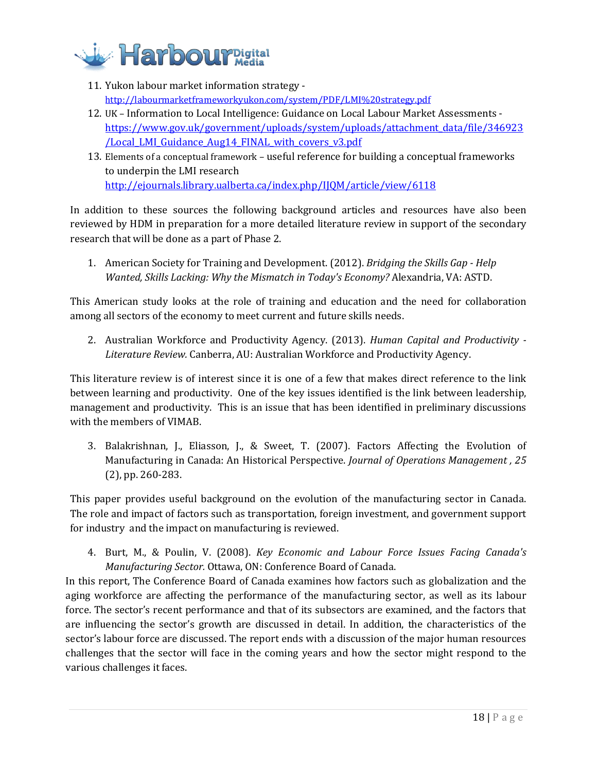

- 11. Yukon labour market information strategy <http://labourmarketframeworkyukon.com/system/PDF/LMI%20strategy.pdf>
- 12. UK Information to Local Intelligence: Guidance on Local Labour Market Assessments [https://www.gov.uk/government/uploads/system/uploads/attachment\\_data/file/346923](https://www.gov.uk/government/uploads/system/uploads/attachment_data/file/346923/Local_LMI_Guidance_Aug14_FINAL_with_covers_v3.pdf) [/Local\\_LMI\\_Guidance\\_Aug14\\_FINAL\\_with\\_covers\\_v3.pdf](https://www.gov.uk/government/uploads/system/uploads/attachment_data/file/346923/Local_LMI_Guidance_Aug14_FINAL_with_covers_v3.pdf)
- 13. Elements of a conceptual framework useful reference for building a conceptual frameworks to underpin the LMI research <http://ejournals.library.ualberta.ca/index.php/IJQM/article/view/6118>

In addition to these sources the following background articles and resources have also been reviewed by HDM in preparation for a more detailed literature review in support of the secondary research that will be done as a part of Phase 2.

1. American Society for Training and Development. (2012). *Bridging the Skills Gap - Help Wanted, Skills Lacking: Why the Mismatch in Today's Economy?* Alexandria, VA: ASTD.

This American study looks at the role of training and education and the need for collaboration among all sectors of the economy to meet current and future skills needs.

2. Australian Workforce and Productivity Agency. (2013). *Human Capital and Productivity - Literature Review.* Canberra, AU: Australian Workforce and Productivity Agency.

This literature review is of interest since it is one of a few that makes direct reference to the link between learning and productivity. One of the key issues identified is the link between leadership, management and productivity. This is an issue that has been identified in preliminary discussions with the members of VIMAB.

3. Balakrishnan, J., Eliasson, J., & Sweet, T. (2007). Factors Affecting the Evolution of Manufacturing in Canada: An Historical Perspective. *Journal of Operations Management , 25* (2), pp. 260-283.

This paper provides useful background on the evolution of the manufacturing sector in Canada. The role and impact of factors such as transportation, foreign investment, and government support for industry and the impact on manufacturing is reviewed.

4. Burt, M., & Poulin, V. (2008). *Key Economic and Labour Force Issues Facing Canada's Manufacturing Sector.* Ottawa, ON: Conference Board of Canada.

In this report, The Conference Board of Canada examines how factors such as globalization and the aging workforce are affecting the performance of the manufacturing sector, as well as its labour force. The sector's recent performance and that of its subsectors are examined, and the factors that are influencing the sector's growth are discussed in detail. In addition, the characteristics of the sector's labour force are discussed. The report ends with a discussion of the major human resources challenges that the sector will face in the coming years and how the sector might respond to the various challenges it faces.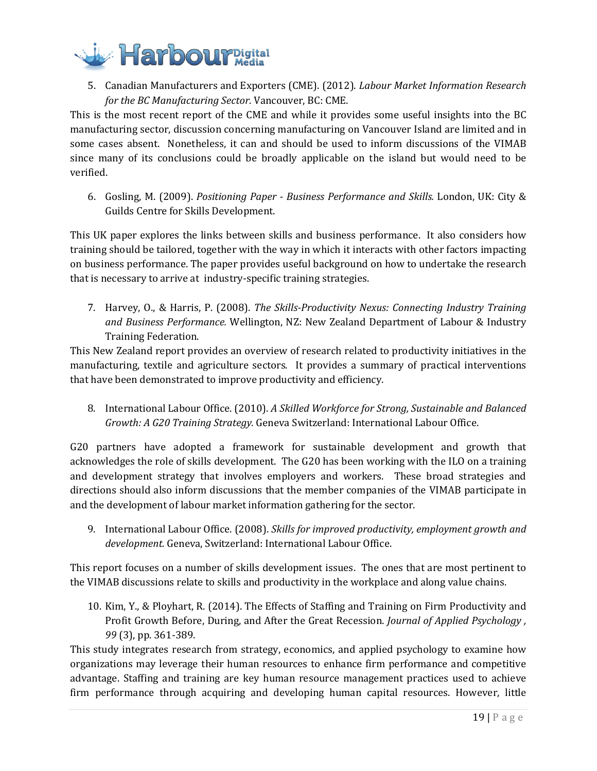

5. Canadian Manufacturers and Exporters (CME). (2012). *Labour Market Information Research for the BC Manufacturing Sector.* Vancouver, BC: CME.

This is the most recent report of the CME and while it provides some useful insights into the BC manufacturing sector, discussion concerning manufacturing on Vancouver Island are limited and in some cases absent. Nonetheless, it can and should be used to inform discussions of the VIMAB since many of its conclusions could be broadly applicable on the island but would need to be verified.

6. Gosling, M. (2009). *Positioning Paper - Business Performance and Skills.* London, UK: City & Guilds Centre for Skills Development.

This UK paper explores the links between skills and business performance. It also considers how training should be tailored, together with the way in which it interacts with other factors impacting on business performance. The paper provides useful background on how to undertake the research that is necessary to arrive at industry-specific training strategies.

7. Harvey, O., & Harris, P. (2008). *The Skills-Productivity Nexus: Connecting Industry Training and Business Performance.* Wellington, NZ: New Zealand Department of Labour & Industry Training Federation.

This New Zealand report provides an overview of research related to productivity initiatives in the manufacturing, textile and agriculture sectors. It provides a summary of practical interventions that have been demonstrated to improve productivity and efficiency.

8. International Labour Office. (2010). *A Skilled Workforce for Strong, Sustainable and Balanced Growth: A G20 Training Strategy.* Geneva Switzerland: International Labour Office.

G20 partners have adopted a framework for sustainable development and growth that acknowledges the role of skills development. The G20 has been working with the ILO on a training and development strategy that involves employers and workers. These broad strategies and directions should also inform discussions that the member companies of the VIMAB participate in and the development of labour market information gathering for the sector.

9. International Labour Office. (2008). *Skills for improved productivity, employment growth and development.* Geneva, Switzerland: International Labour Office.

This report focuses on a number of skills development issues. The ones that are most pertinent to the VIMAB discussions relate to skills and productivity in the workplace and along value chains.

10. Kim, Y., & Ployhart, R. (2014). The Effects of Staffing and Training on Firm Productivity and Profit Growth Before, During, and After the Great Recession. *Journal of Applied Psychology , 99* (3), pp. 361-389.

This study integrates research from strategy, economics, and applied psychology to examine how organizations may leverage their human resources to enhance firm performance and competitive advantage. Staffing and training are key human resource management practices used to achieve firm performance through acquiring and developing human capital resources. However, little